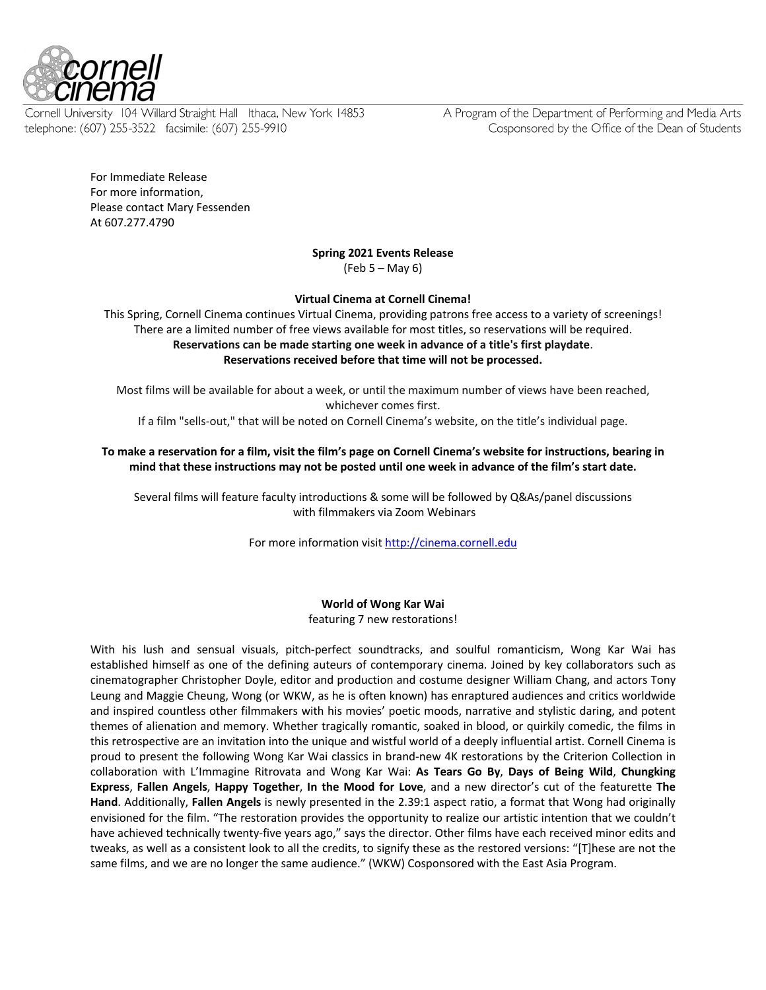

Cornell University 104 Willard Straight Hall Ithaca, New York 14853 telephone: (607) 255-3522 facsimile: (607) 255-9910

A Program of the Department of Performing and Media Arts Cosponsored by the Office of the Dean of Students

For Immediate Release For more information, Please contact Mary Fessenden At 607.277.4790

**Spring 2021 Events Release**

(Feb 5 – May 6)

**Virtual Cinema at Cornell Cinema!**

This Spring, Cornell Cinema continues Virtual Cinema, providing patrons free access to a variety of screenings! There are a limited number of free views available for most titles, so reservations will be required. **Reservations can be made starting one week in advance of a title's first playdate**. **Reservations received before that time will not be processed.**

Most films will be available for about a week, or until the maximum number of views have been reached, whichever comes first.

If a film "sells-out," that will be noted on Cornell Cinema's website, on the title's individual page.

**To make a reservation for a film, visit the film's page on Cornell Cinema's website for instructions, bearing in mind that these instructions may not be posted until one week in advance of the film's start date.**

Several films will feature faculty introductions & some will be followed by Q&As/panel discussions with filmmakers via Zoom Webinars

For more information visit http://cinema.cornell.edu

**World of Wong Kar Wai** featuring 7 new restorations!

With his lush and sensual visuals, pitch-perfect soundtracks, and soulful romanticism, Wong Kar Wai has established himself as one of the defining auteurs of contemporary cinema. Joined by key collaborators such as cinematographer Christopher Doyle, editor and production and costume designer William Chang, and actors Tony Leung and Maggie Cheung, Wong (or WKW, as he is often known) has enraptured audiences and critics worldwide and inspired countless other filmmakers with his movies' poetic moods, narrative and stylistic daring, and potent themes of alienation and memory. Whether tragically romantic, soaked in blood, or quirkily comedic, the films in this retrospective are an invitation into the unique and wistful world of a deeply influential artist. Cornell Cinema is proud to present the following Wong Kar Wai classics in brand-new 4K restorations by the Criterion Collection in collaboration with L'Immagine Ritrovata and Wong Kar Wai: **As Tears Go By**, **Days of Being Wild**, **Chungking Express**, **Fallen Angels**, **Happy Together**, **In the Mood for Love**, and a new director's cut of the featurette **The Hand**. Additionally, **Fallen Angels** is newly presented in the 2.39:1 aspect ratio, a format that Wong had originally envisioned for the film. "The restoration provides the opportunity to realize our artistic intention that we couldn't have achieved technically twenty-five years ago," says the director. Other films have each received minor edits and tweaks, as well as a consistent look to all the credits, to signify these as the restored versions: "[T]hese are not the same films, and we are no longer the same audience." (WKW) Cosponsored with the East Asia Program.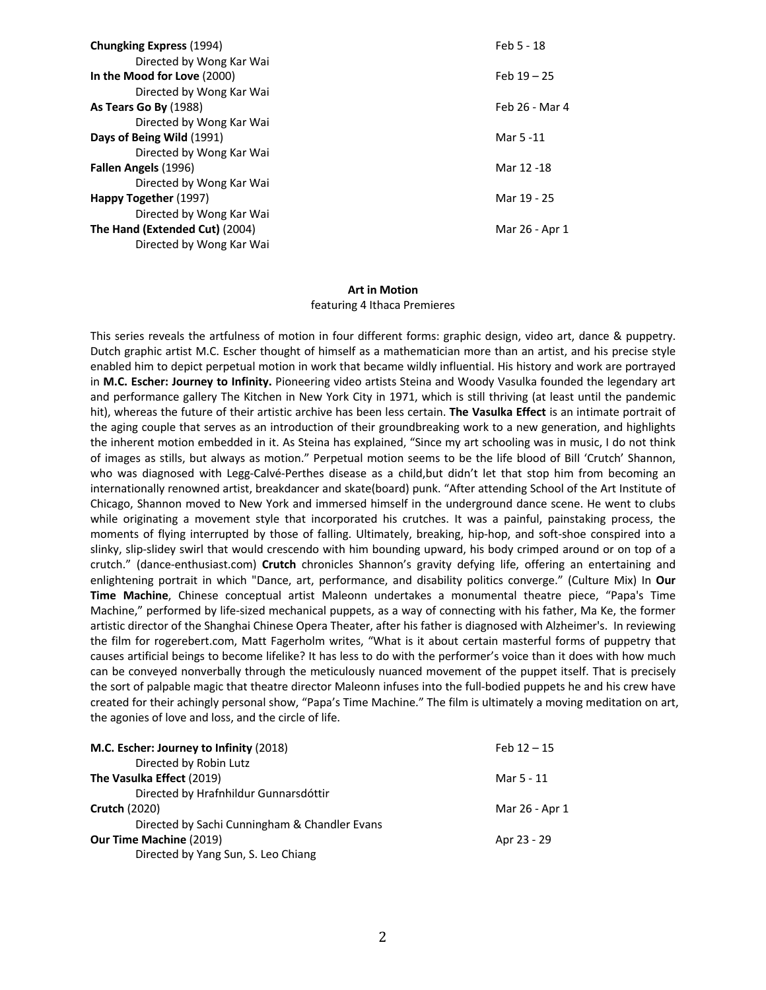| <b>Chungking Express (1994)</b> | Feb 5 - 18     |
|---------------------------------|----------------|
| Directed by Wong Kar Wai        |                |
| In the Mood for Love (2000)     | Feb $19 - 25$  |
| Directed by Wong Kar Wai        |                |
| As Tears Go By (1988)           | Feb 26 - Mar 4 |
| Directed by Wong Kar Wai        |                |
| Days of Being Wild (1991)       | Mar 5 -11      |
| Directed by Wong Kar Wai        |                |
| Fallen Angels (1996)            | Mar 12 -18     |
| Directed by Wong Kar Wai        |                |
| Happy Together (1997)           | Mar 19 - 25    |
| Directed by Wong Kar Wai        |                |
| The Hand (Extended Cut) (2004)  | Mar 26 - Apr 1 |
| Directed by Wong Kar Wai        |                |

#### **Art in Motion**

#### featuring 4 Ithaca Premieres

This series reveals the artfulness of motion in four different forms: graphic design, video art, dance & puppetry. Dutch graphic artist M.C. Escher thought of himself as a mathematician more than an artist, and his precise style enabled him to depict perpetual motion in work that became wildly influential. His history and work are portrayed in **M.C. Escher: Journey to Infinity.** Pioneering video artists Steina and Woody Vasulka founded the legendary art and performance gallery The Kitchen in New York City in 1971, which is still thriving (at least until the pandemic hit), whereas the future of their artistic archive has been less certain. **The Vasulka Effect** is an intimate portrait of the aging couple that serves as an introduction of their groundbreaking work to a new generation, and highlights the inherent motion embedded in it. As Steina has explained, "Since my art schooling was in music, I do not think of images as stills, but always as motion." Perpetual motion seems to be the life blood of Bill 'Crutch' Shannon, who was diagnosed with Legg-Calvé-Perthes disease as a child,but didn't let that stop him from becoming an internationally renowned artist, breakdancer and skate(board) punk. "After attending School of the Art Institute of Chicago, Shannon moved to New York and immersed himself in the underground dance scene. He went to clubs while originating a movement style that incorporated his crutches. It was a painful, painstaking process, the moments of flying interrupted by those of falling. Ultimately, breaking, hip-hop, and soft-shoe conspired into a slinky, slip-slidey swirl that would crescendo with him bounding upward, his body crimped around or on top of a crutch." (dance-enthusiast.com) **Crutch** chronicles Shannon's gravity defying life, offering an entertaining and enlightening portrait in which "Dance, art, performance, and disability politics converge." (Culture Mix) In **Our Time Machine**, Chinese conceptual artist Maleonn undertakes a monumental theatre piece, "Papa's Time Machine," performed by life-sized mechanical puppets, as a way of connecting with his father, Ma Ke, the former artistic director of the Shanghai Chinese Opera Theater, after his father is diagnosed with Alzheimer's. In reviewing the film for rogerebert.com, Matt Fagerholm writes, "What is it about certain masterful forms of puppetry that causes artificial beings to become lifelike? It has less to do with the performer's voice than it does with how much can be conveyed nonverbally through the meticulously nuanced movement of the puppet itself. That is precisely the sort of palpable magic that theatre director Maleonn infuses into the full-bodied puppets he and his crew have created for their achingly personal show, "Papa's Time Machine." The film is ultimately a moving meditation on art, the agonies of love and loss, and the circle of life.

| M.C. Escher: Journey to Infinity (2018)       | Feb $12 - 15$  |
|-----------------------------------------------|----------------|
| Directed by Robin Lutz                        |                |
| The Vasulka Effect (2019)                     | Mar 5 - 11     |
| Directed by Hrafnhildur Gunnarsdóttir         |                |
| <b>Crutch (2020)</b>                          | Mar 26 - Apr 1 |
| Directed by Sachi Cunningham & Chandler Evans |                |
| <b>Our Time Machine (2019)</b>                | Apr 23 - 29    |
| Directed by Yang Sun, S. Leo Chiang           |                |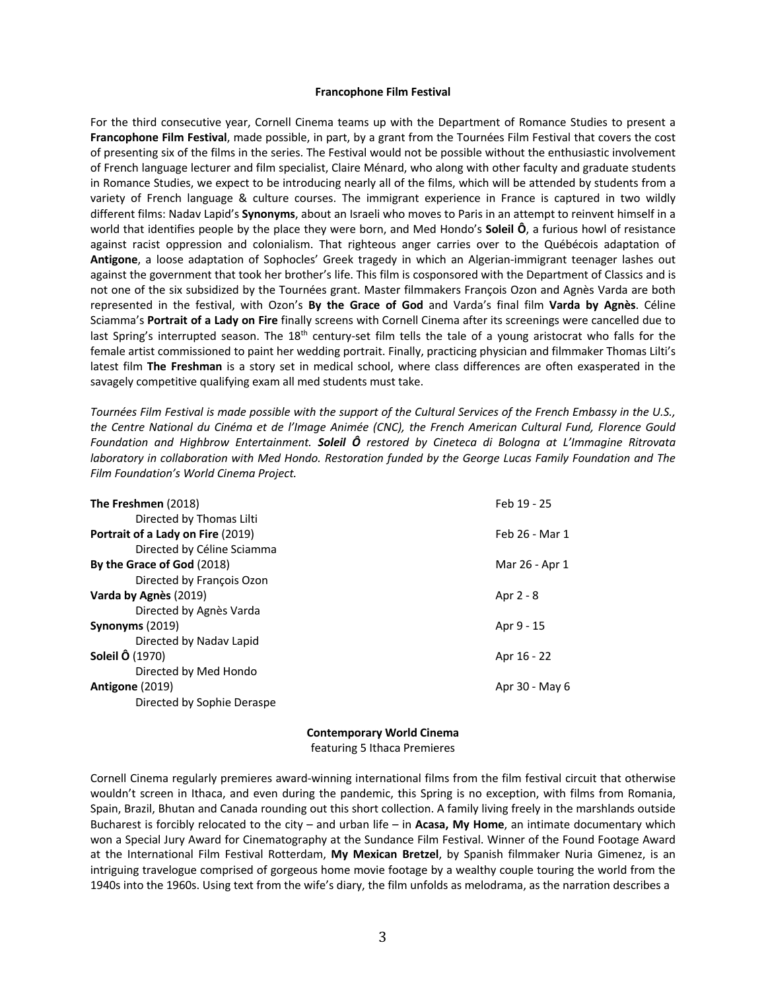### **Francophone Film Festival**

For the third consecutive year, Cornell Cinema teams up with the Department of Romance Studies to present a **Francophone Film Festival**, made possible, in part, by a grant from the Tournées Film Festival that covers the cost of presenting six of the films in the series. The Festival would not be possible without the enthusiastic involvement of French language lecturer and film specialist, Claire Ménard, who along with other faculty and graduate students in Romance Studies, we expect to be introducing nearly all of the films, which will be attended by students from a variety of French language & culture courses. The immigrant experience in France is captured in two wildly different films: Nadav Lapid's **Synonyms**, about an Israeli who moves to Paris in an attempt to reinvent himself in a world that identifies people by the place they were born, and Med Hondo's **Soleil Ô**, a furious howl of resistance against racist oppression and colonialism. That righteous anger carries over to the Québécois adaptation of **Antigone**, a loose adaptation of Sophocles' Greek tragedy in which an Algerian-immigrant teenager lashes out against the government that took her brother's life. This film is cosponsored with the Department of Classics and is not one of the six subsidized by the Tournées grant. Master filmmakers François Ozon and Agnès Varda are both represented in the festival, with Ozon's **By the Grace of God** and Varda's final film **Varda by Agnès**. Céline Sciamma's **Portrait of a Lady on Fire** finally screens with Cornell Cinema after its screenings were cancelled due to last Spring's interrupted season. The 18<sup>th</sup> century-set film tells the tale of a young aristocrat who falls for the female artist commissioned to paint her wedding portrait. Finally, practicing physician and filmmaker Thomas Lilti's latest film **The Freshman** is a story set in medical school, where class differences are often exasperated in the savagely competitive qualifying exam all med students must take.

*Tournées Film Festival is made possible with the support of the Cultural Services of the French Embassy in the U.S., the Centre National du Cinéma et de l'Image Animée (CNC), the French American Cultural Fund, Florence Gould Foundation and Highbrow Entertainment. Soleil Ô restored by Cineteca di Bologna at L'Immagine Ritrovata laboratory in collaboration with Med Hondo. Restoration funded by the George Lucas Family Foundation and The Film Foundation's World Cinema Project.*

| The Freshmen (2018)               | Feb 19 - 25    |
|-----------------------------------|----------------|
| Directed by Thomas Lilti          |                |
| Portrait of a Lady on Fire (2019) | Feb 26 - Mar 1 |
| Directed by Céline Sciamma        |                |
| By the Grace of God (2018)        | Mar 26 - Apr 1 |
| Directed by François Ozon         |                |
| Varda by Agnès (2019)             | Apr 2 - 8      |
| Directed by Agnès Varda           |                |
| Synonyms $(2019)$                 | Apr 9 - 15     |
| Directed by Naday Lapid           |                |
| <b>Soleil Ô (1970)</b>            | Apr 16 - 22    |
| Directed by Med Hondo             |                |
| Antigone (2019)                   | Apr 30 - May 6 |
| Directed by Sophie Deraspe        |                |

#### **Contemporary World Cinema**

featuring 5 Ithaca Premieres

Cornell Cinema regularly premieres award-winning international films from the film festival circuit that otherwise wouldn't screen in Ithaca, and even during the pandemic, this Spring is no exception, with films from Romania, Spain, Brazil, Bhutan and Canada rounding out this short collection. A family living freely in the marshlands outside Bucharest is forcibly relocated to the city – and urban life – in **Acasa, My Home**, an intimate documentary which won a Special Jury Award for Cinematography at the Sundance Film Festival. Winner of the Found Footage Award at the International Film Festival Rotterdam, **My Mexican Bretzel**, by Spanish filmmaker Nuria Gimenez, is an intriguing travelogue comprised of gorgeous home movie footage by a wealthy couple touring the world from the 1940s into the 1960s. Using text from the wife's diary, the film unfolds as melodrama, as the narration describes a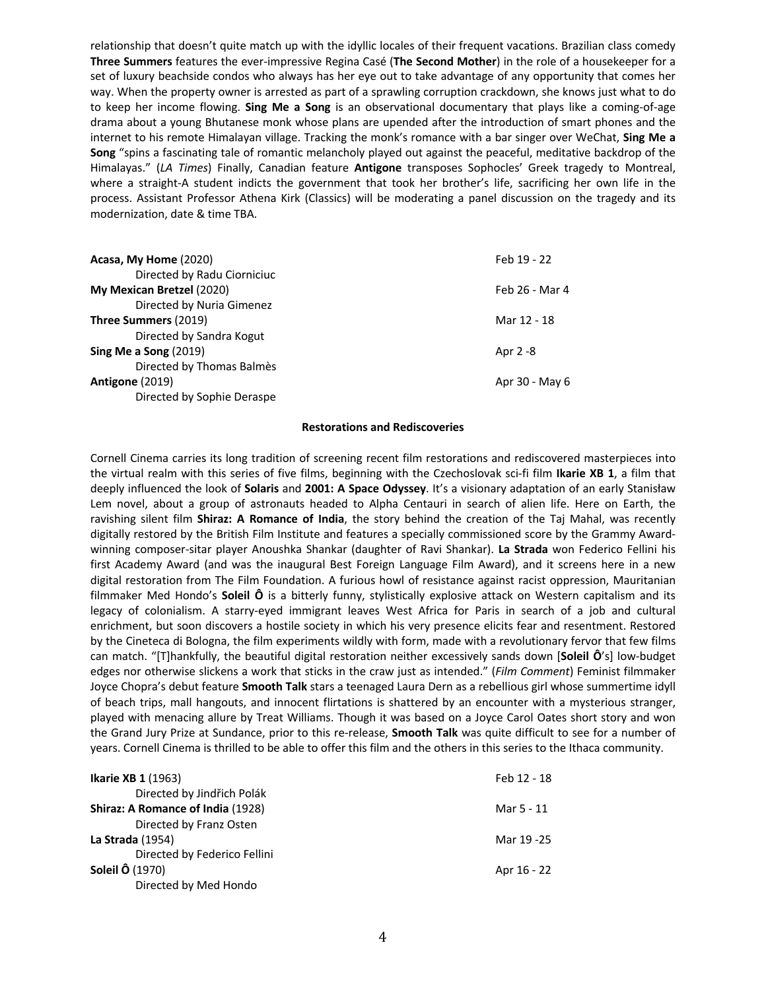relationship that doesn't quite match up with the idyllic locales of their frequent vacations. Brazilian class comedy **Three Summers** features the ever-impressive Regina Casé (**The Second Mother**) in the role of a housekeeper for a set of luxury beachside condos who always has her eye out to take advantage of any opportunity that comes her way. When the property owner is arrested as part of a sprawling corruption crackdown, she knows just what to do to keep her income flowing. **Sing Me a Song** is an observational documentary that plays like a coming-of-age drama about a young Bhutanese monk whose plans are upended after the introduction of smart phones and the internet to his remote Himalayan village. Tracking the monk's romance with a bar singer over WeChat, **Sing Me a Song** "spins a fascinating tale of romantic melancholy played out against the peaceful, meditative backdrop of the Himalayas." (*LA Times*) Finally, Canadian feature **Antigone** transposes Sophocles' Greek tragedy to Montreal, where a straight-A student indicts the government that took her brother's life, sacrificing her own life in the process. Assistant Professor Athena Kirk (Classics) will be moderating a panel discussion on the tragedy and its modernization, date & time TBA.

| Acasa, My Home (2020)       | Feb 19 - 22    |
|-----------------------------|----------------|
| Directed by Radu Ciorniciuc |                |
| My Mexican Bretzel (2020)   | Feb 26 - Mar 4 |
| Directed by Nuria Gimenez   |                |
| Three Summers (2019)        | Mar 12 - 18    |
| Directed by Sandra Kogut    |                |
| Sing Me a Song (2019)       | Apr 2 -8       |
| Directed by Thomas Balmès   |                |
| Antigone (2019)             | Apr 30 - May 6 |
| Directed by Sophie Deraspe  |                |

## **Restorations and Rediscoveries**

Cornell Cinema carries its long tradition of screening recent film restorations and rediscovered masterpieces into the virtual realm with this series of five films, beginning with the Czechoslovak sci-fi film **Ikarie XB 1**, a film that deeply influenced the look of **Solaris** and **2001: A Space Odyssey**. It's a visionary adaptation of an early Stanisław Lem novel, about a group of astronauts headed to Alpha Centauri in search of alien life. Here on Earth, the ravishing silent film **Shiraz: A Romance of India**, the story behind the creation of the Taj Mahal, was recently digitally restored by the British Film Institute and features a specially commissioned score by the Grammy Awardwinning composer-sitar player Anoushka Shankar (daughter of Ravi Shankar). **La Strada** won Federico Fellini his first Academy Award (and was the inaugural Best Foreign Language Film Award), and it screens here in a new digital restoration from The Film Foundation. A furious howl of resistance against racist oppression, Mauritanian filmmaker Med Hondo's **Soleil Ô** is a bitterly funny, stylistically explosive attack on Western capitalism and its legacy of colonialism. A starry-eyed immigrant leaves West Africa for Paris in search of a job and cultural enrichment, but soon discovers a hostile society in which his very presence elicits fear and resentment. Restored by the Cineteca di Bologna, the film experiments wildly with form, made with a revolutionary fervor that few films can match. "[T]hankfully, the beautiful digital restoration neither excessively sands down [**Soleil Ô**'s] low-budget edges nor otherwise slickens a work that sticks in the craw just as intended." (*Film Comment*) Feminist filmmaker Joyce Chopra's debut feature **Smooth Talk** stars a teenaged Laura Dern as a rebellious girl whose summertime idyll of beach trips, mall hangouts, and innocent flirtations is shattered by an encounter with a mysterious stranger, played with menacing allure by Treat Williams. Though it was based on a Joyce Carol Oates short story and won the Grand Jury Prize at Sundance, prior to this re-release, **Smooth Talk** was quite difficult to see for a number of years. Cornell Cinema is thrilled to be able to offer this film and the others in this series to the Ithaca community.

| <b>Ikarie XB 1 (1963)</b>         | Feb 12 - 18 |
|-----------------------------------|-------------|
| Directed by Jindřich Polák        |             |
| Shiraz: A Romance of India (1928) | Mar 5 - 11  |
| Directed by Franz Osten           |             |
| <b>La Strada</b> (1954)           | Mar 19 - 25 |
| Directed by Federico Fellini      |             |
| <b>Soleil Ô (1970)</b>            | Apr 16 - 22 |
| Directed by Med Hondo             |             |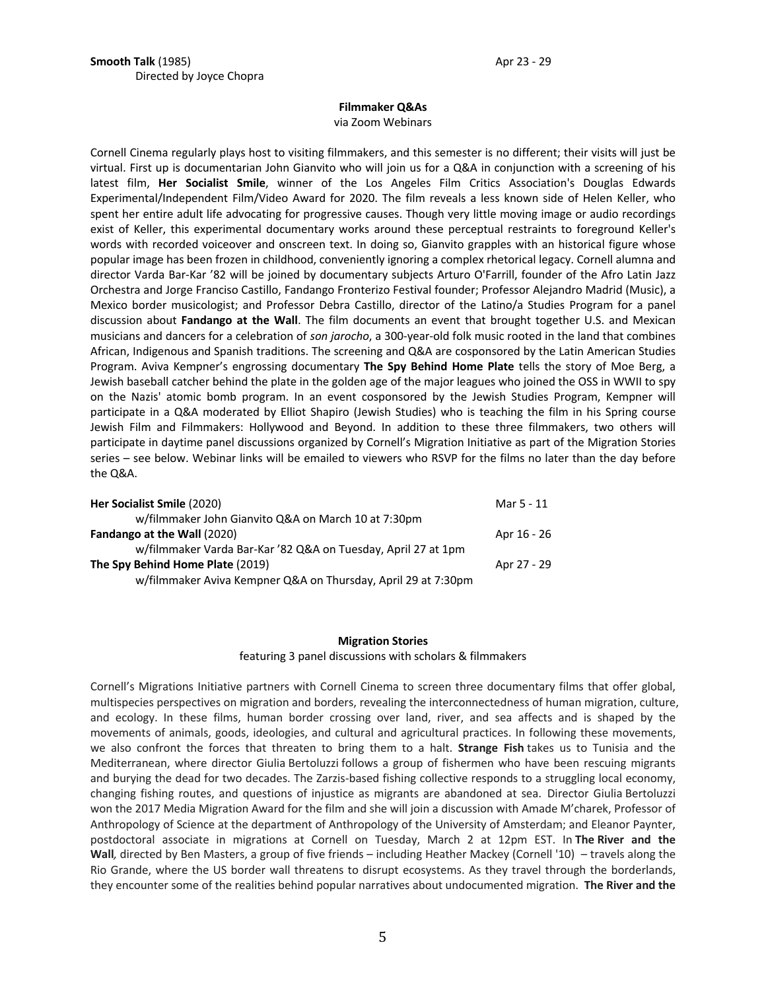## **Filmmaker Q&As**

via Zoom Webinars

Cornell Cinema regularly plays host to visiting filmmakers, and this semester is no different; their visits will just be virtual. First up is documentarian John Gianvito who will join us for a Q&A in conjunction with a screening of his latest film, **Her Socialist Smile**, winner of the Los Angeles Film Critics Association's Douglas Edwards Experimental/Independent Film/Video Award for 2020. The film reveals a less known side of Helen Keller, who spent her entire adult life advocating for progressive causes. Though very little moving image or audio recordings exist of Keller, this experimental documentary works around these perceptual restraints to foreground Keller's words with recorded voiceover and onscreen text. In doing so, Gianvito grapples with an historical figure whose popular image has been frozen in childhood, conveniently ignoring a complex rhetorical legacy. Cornell alumna and director Varda Bar-Kar '82 will be joined by documentary subjects Arturo O'Farrill, founder of the Afro Latin Jazz Orchestra and Jorge Franciso Castillo, Fandango Fronterizo Festival founder; Professor Alejandro Madrid (Music), a Mexico border musicologist; and Professor Debra Castillo, director of the Latino/a Studies Program for a panel discussion about **Fandango at the Wall**. The film documents an event that brought together U.S. and Mexican musicians and dancers for a celebration of *son jarocho*, a 300-year-old folk music rooted in the land that combines African, Indigenous and Spanish traditions. The screening and Q&A are cosponsored by the Latin American Studies Program. Aviva Kempner's engrossing documentary **The Spy Behind Home Plate** tells the story of Moe Berg, a Jewish baseball catcher behind the plate in the golden age of the major leagues who joined the OSS in WWII to spy on the Nazis' atomic bomb program. In an event cosponsored by the Jewish Studies Program, Kempner will participate in a Q&A moderated by Elliot Shapiro (Jewish Studies) who is teaching the film in his Spring course Jewish Film and Filmmakers: Hollywood and Beyond. In addition to these three filmmakers, two others will participate in daytime panel discussions organized by Cornell's Migration Initiative as part of the Migration Stories series – see below. Webinar links will be emailed to viewers who RSVP for the films no later than the day before the Q&A.

| Her Socialist Smile (2020)                                    | Mar 5 - 11  |
|---------------------------------------------------------------|-------------|
| w/filmmaker John Gianvito Q&A on March 10 at 7:30pm           |             |
| <b>Fandango at the Wall (2020)</b>                            | Apr 16 - 26 |
| w/filmmaker Varda Bar-Kar '82 Q&A on Tuesday, April 27 at 1pm |             |
| The Spy Behind Home Plate (2019)                              | Apr 27 - 29 |
| w/filmmaker Aviva Kempner Q&A on Thursday, April 29 at 7:30pm |             |

## **Migration Stories** featuring 3 panel discussions with scholars & filmmakers

Cornell's Migrations Initiative partners with Cornell Cinema to screen three documentary films that offer global, multispecies perspectives on migration and borders, revealing the interconnectedness of human migration, culture, and ecology. In these films, human border crossing over land, river, and sea affects and is shaped by the movements of animals, goods, ideologies, and cultural and agricultural practices. In following these movements, we also confront the forces that threaten to bring them to a halt. **Strange Fish** takes us to Tunisia and the Mediterranean, where director Giulia Bertoluzzi follows a group of fishermen who have been rescuing migrants and burying the dead for two decades. The Zarzis-based fishing collective responds to a struggling local economy, changing fishing routes, and questions of injustice as migrants are abandoned at sea. Director Giulia Bertoluzzi won the 2017 Media Migration Award for the film and she will join a discussion with Amade M'charek, Professor of Anthropology of Science at the department of Anthropology of the University of Amsterdam; and Eleanor Paynter, postdoctoral associate in migrations at Cornell on Tuesday, March 2 at 12pm EST. In **The River and the Wall***,* directed by Ben Masters, a group of five friends – including Heather Mackey (Cornell '10) – travels along the Rio Grande, where the US border wall threatens to disrupt ecosystems. As they travel through the borderlands, they encounter some of the realities behind popular narratives about undocumented migration. **The River and the**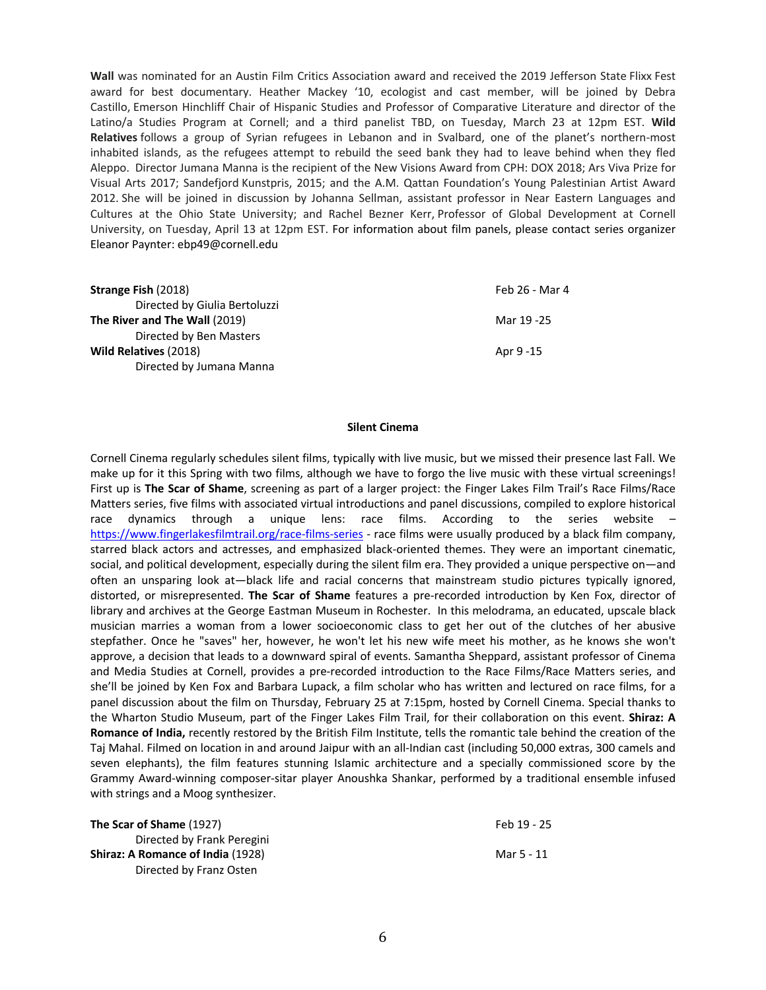**Wall** was nominated for an Austin Film Critics Association award and received the 2019 Jefferson State Flixx Fest award for best documentary. Heather Mackey '10, ecologist and cast member, will be joined by Debra Castillo, Emerson Hinchliff Chair of Hispanic Studies and Professor of Comparative Literature and director of the Latino/a Studies Program at Cornell; and a third panelist TBD, on Tuesday, March 23 at 12pm EST. **Wild Relatives** follows a group of Syrian refugees in Lebanon and in Svalbard, one of the planet's northern-most inhabited islands, as the refugees attempt to rebuild the seed bank they had to leave behind when they fled Aleppo. Director Jumana Manna is the recipient of the New Visions Award from CPH: DOX 2018; Ars Viva Prize for Visual Arts 2017; Sandefjord Kunstpris, 2015; and the A.M. Qattan Foundation's Young Palestinian Artist Award 2012. She will be joined in discussion by Johanna Sellman, assistant professor in Near Eastern Languages and Cultures at the Ohio State University; and Rachel Bezner Kerr, Professor of Global Development at Cornell University, on Tuesday, April 13 at 12pm EST. For information about film panels, please contact series organizer Eleanor Paynter: ebp49@cornell.edu

| Feb 26 - Mar 4 |
|----------------|
|                |
| Mar 19 -25     |
|                |
| Apr 9 - 15     |
|                |
|                |

## **Silent Cinema**

Cornell Cinema regularly schedules silent films, typically with live music, but we missed their presence last Fall. We make up for it this Spring with two films, although we have to forgo the live music with these virtual screenings! First up is **The Scar of Shame**, screening as part of a larger project: the Finger Lakes Film Trail's Race Films/Race Matters series, five films with associated virtual introductions and panel discussions, compiled to explore historical race dynamics through a unique lens: race films. According to the series website – https://www.fingerlakesfilmtrail.org/race-films-series - race films were usually produced by a black film company, starred black actors and actresses, and emphasized black-oriented themes. They were an important cinematic, social, and political development, especially during the silent film era. They provided a unique perspective on—and often an unsparing look at—black life and racial concerns that mainstream studio pictures typically ignored, distorted, or misrepresented. **The Scar of Shame** features a pre-recorded introduction by Ken Fox, director of library and archives at the George Eastman Museum in Rochester. In this melodrama, an educated, upscale black musician marries a woman from a lower socioeconomic class to get her out of the clutches of her abusive stepfather. Once he "saves" her, however, he won't let his new wife meet his mother, as he knows she won't approve, a decision that leads to a downward spiral of events. Samantha Sheppard, assistant professor of Cinema and Media Studies at Cornell, provides a pre-recorded introduction to the Race Films/Race Matters series, and she'll be joined by Ken Fox and Barbara Lupack, a film scholar who has written and lectured on race films, for a panel discussion about the film on Thursday, February 25 at 7:15pm, hosted by Cornell Cinema. Special thanks to the Wharton Studio Museum, part of the Finger Lakes Film Trail, for their collaboration on this event. **Shiraz: A Romance of India,** recently restored by the British Film Institute, tells the romantic tale behind the creation of the Taj Mahal. Filmed on location in and around Jaipur with an all-Indian cast (including 50,000 extras, 300 camels and seven elephants), the film features stunning Islamic architecture and a specially commissioned score by the Grammy Award-winning composer-sitar player Anoushka Shankar, performed by a traditional ensemble infused with strings and a Moog synthesizer.

| The Scar of Shame (1927)                 | Feb 19 - 25 |
|------------------------------------------|-------------|
| Directed by Frank Peregini               |             |
| <b>Shiraz: A Romance of India (1928)</b> | Mar 5 - 11  |
| Directed by Franz Osten                  |             |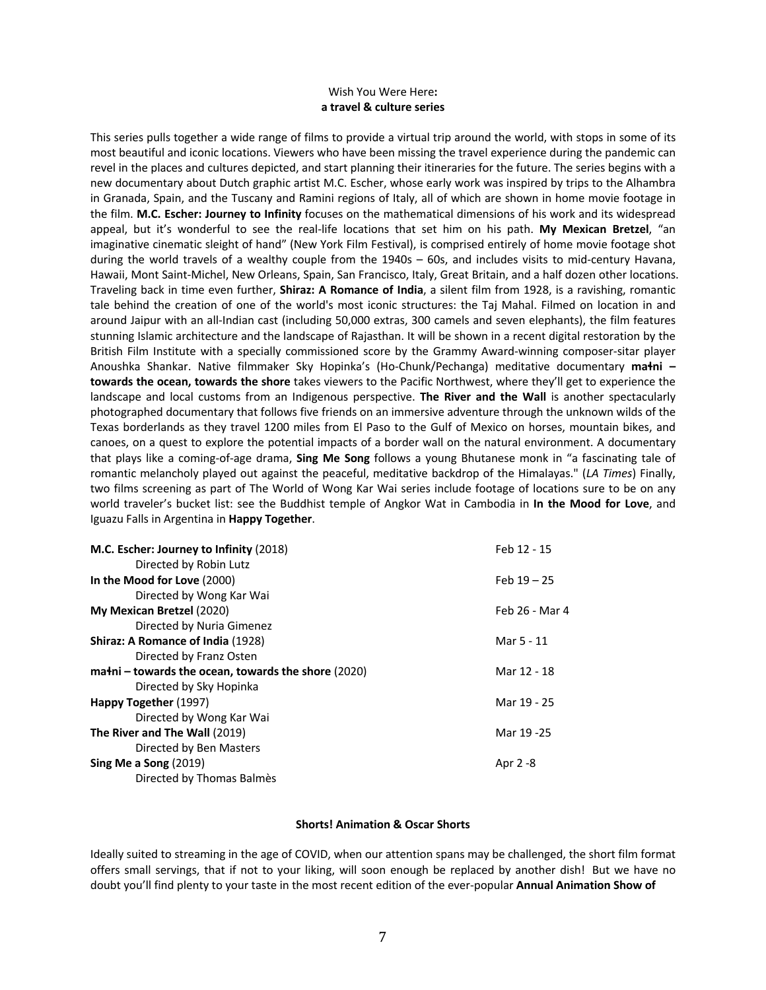## Wish You Were Here**: a travel & culture series**

This series pulls together a wide range of films to provide a virtual trip around the world, with stops in some of its most beautiful and iconic locations. Viewers who have been missing the travel experience during the pandemic can revel in the places and cultures depicted, and start planning their itineraries for the future. The series begins with a new documentary about Dutch graphic artist M.C. Escher, whose early work was inspired by trips to the Alhambra in Granada, Spain, and the Tuscany and Ramini regions of Italy, all of which are shown in home movie footage in the film. **M.C. Escher: Journey to Infinity** focuses on the mathematical dimensions of his work and its widespread appeal, but it's wonderful to see the real-life locations that set him on his path. **My Mexican Bretzel**, "an imaginative cinematic sleight of hand" (New York Film Festival), is comprised entirely of home movie footage shot during the world travels of a wealthy couple from the 1940s – 60s, and includes visits to mid-century Havana, Hawaii, Mont Saint-Michel, New Orleans, Spain, San Francisco, Italy, Great Britain, and a half dozen other locations. Traveling back in time even further, **Shiraz: A Romance of India**, a silent film from 1928, is a ravishing, romantic tale behind the creation of one of the world's most iconic structures: the Taj Mahal. Filmed on location in and around Jaipur with an all-Indian cast (including 50,000 extras, 300 camels and seven elephants), the film features stunning Islamic architecture and the landscape of Rajasthan. It will be shown in a recent digital restoration by the British Film Institute with a specially commissioned score by the Grammy Award-winning composer-sitar player Anoushka Shankar. Native filmmaker Sky Hopinka's (Ho-Chunk/Pechanga) meditative documentary **maɬni – towards the ocean, towards the shore** takes viewers to the Pacific Northwest, where they'll get to experience the landscape and local customs from an Indigenous perspective. **The River and the Wall** is another spectacularly photographed documentary that follows five friends on an immersive adventure through the unknown wilds of the Texas borderlands as they travel 1200 miles from El Paso to the Gulf of Mexico on horses, mountain bikes, and canoes, on a quest to explore the potential impacts of a border wall on the natural environment. A documentary that plays like a coming-of-age drama, **Sing Me Song** follows a young Bhutanese monk in "a fascinating tale of romantic melancholy played out against the peaceful, meditative backdrop of the Himalayas." (*LA Times*) Finally, two films screening as part of The World of Wong Kar Wai series include footage of locations sure to be on any world traveler's bucket list: see the Buddhist temple of Angkor Wat in Cambodia in **In the Mood for Love**, and Iguazu Falls in Argentina in **Happy Together**.

| M.C. Escher: Journey to Infinity (2018)                | Feb 12 - 15    |
|--------------------------------------------------------|----------------|
| Directed by Robin Lutz                                 |                |
| In the Mood for Love (2000)                            | Feb $19 - 25$  |
| Directed by Wong Kar Wai                               |                |
| My Mexican Bretzel (2020)                              | Feb 26 - Mar 4 |
| Directed by Nuria Gimenez                              |                |
| Shiraz: A Romance of India (1928)                      | Mar 5 - 11     |
| Directed by Franz Osten                                |                |
| $m$ a ni – towards the ocean, towards the shore (2020) | Mar 12 - 18    |
| Directed by Sky Hopinka                                |                |
| Happy Together (1997)                                  | Mar 19 - 25    |
| Directed by Wong Kar Wai                               |                |
| The River and The Wall (2019)                          | Mar 19 - 25    |
| Directed by Ben Masters                                |                |
| Sing Me a Song $(2019)$                                | Apr 2 -8       |
| Directed by Thomas Balmès                              |                |

## **Shorts! Animation & Oscar Shorts**

Ideally suited to streaming in the age of COVID, when our attention spans may be challenged, the short film format offers small servings, that if not to your liking, will soon enough be replaced by another dish! But we have no doubt you'll find plenty to your taste in the most recent edition of the ever-popular **Annual Animation Show of**